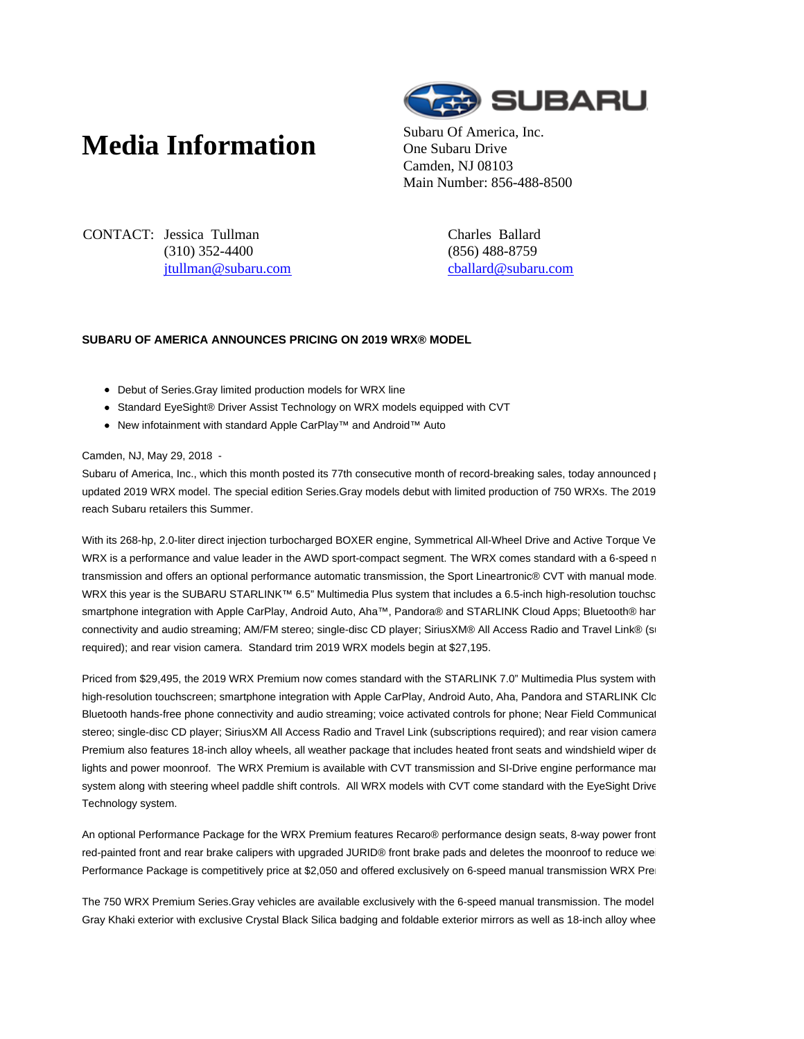## **Media Information** Subaru Of America, Inc.



One Subaru Drive Camden, NJ 08103 Main Number: 856-488-8500

CONTACT: Jessica Tullman (310) 352-4400 jtullman@subaru.com Charles Ballard (856) 488-8759 cballard@subaru.com

## **SUBARU OF AMERICA ANNOUNCES PRICING ON 2019 WRX® MODEL**

- Debut of Series.Gray limited production models for WRX line
- Standard EyeSight® Driver Assist Technology on WRX models equipped with CVT
- New infotainment with standard Apple CarPlay™ and Android™ Auto

Camden, NJ, May 29, 2018 -

Subaru of America, Inc., which this month posted its 77th consecutive month of record-breaking sales, today announced pricing on the state on the state on the state on the state on the state on the state on the state on th updated 2019 WRX model. The special edition Series.Gray models debut with limited production of 750 WRXs. The 2019 reach Subaru retailers this Summer.

With its 268-hp, 2.0-liter direct injection turbocharged BOXER engine, Symmetrical All-Wheel Drive and Active Torque Ve WRX is a performance and value leader in the AWD sport-compact segment. The WRX comes standard with a 6-speed n transmission and offers an optional performance automatic transmission, the Sport Lineartronic® CVT with manual mode WRX this year is the SUBARU STARLINK™ 6.5" Multimedia Plus system that includes a 6.5-inch high-resolution touchsc smartphone integration with Apple CarPlay, Android Auto, Aha™, Pandora® and STARLINK Cloud Apps; Bluetooth® har connectivity and audio streaming; AM/FM stereo; single-disc CD player; SiriusXM® All Access Radio and Travel Link® (s required); and rear vision camera. Standard trim 2019 WRX models begin at \$27,195.

Priced from \$29,495, the 2019 WRX Premium now comes standard with the STARLINK 7.0" Multimedia Plus system with high-resolution touchscreen; smartphone integration with Apple CarPlay, Android Auto, Aha, Pandora and STARLINK Cloud Bluetooth hands-free phone connectivity and audio streaming; voice activated controls for phone; Near Field Communication; stereo; single-disc CD player; SiriusXM All Access Radio and Travel Link (subscriptions required); and rear vision camera. Premium also features 18-inch alloy wheels, all weather package that includes heated front seats and windshield wiper delights and power moonroof. The WRX Premium is available with CVT transmission and SI-Drive engine performance man system along with steering wheel paddle shift controls. All WRX models with CVT come standard with the EyeSight Drive Technology system.

An optional Performance Package for the WRX Premium features Recaro<sup>®</sup> performance design seats, 8-way power front red-painted front and rear brake calipers with upgraded JURID® front brake pads and deletes the moonroof to reduce we Performance Package is competitively price at \$2,050 and offered exclusively on 6-speed manual transmission WRX Pre

The 750 WRX Premium Series.Gray vehicles are available exclusively with the 6-speed manual transmission. The model Gray Khaki exterior with exclusive Crystal Black Silica badging and foldable exterior mirrors as well as 18-inch alloy whee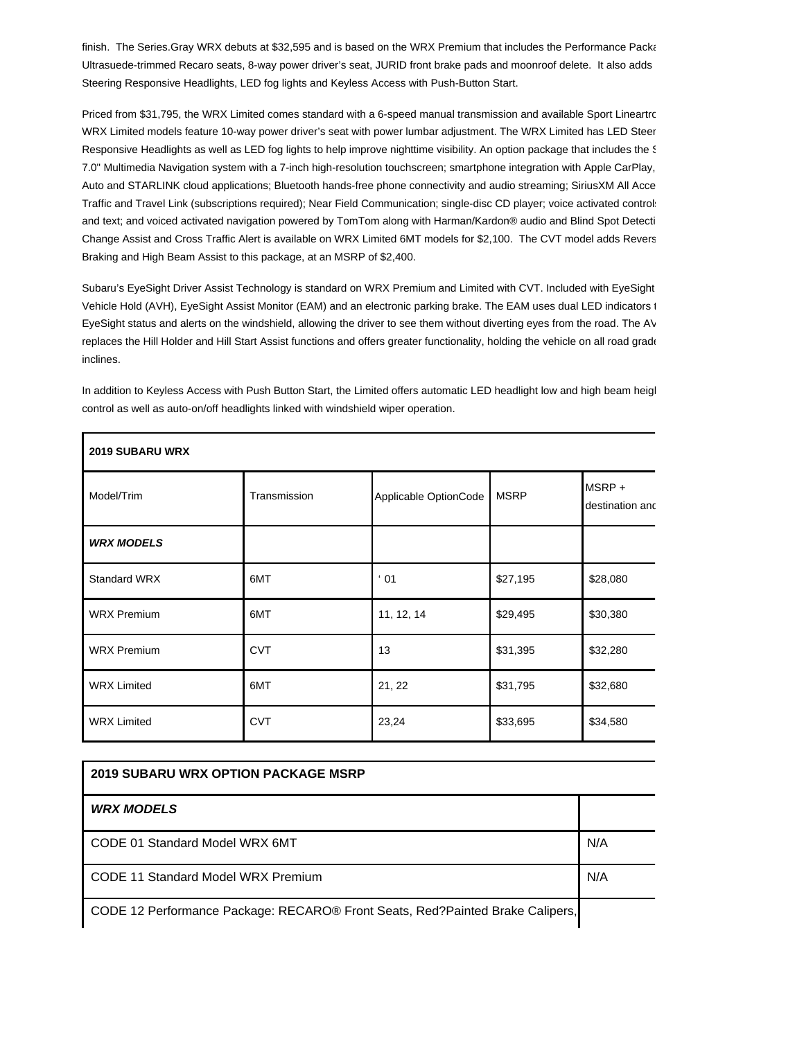finish. The Series.Gray WRX debuts at \$32,595 and is based on the WRX Premium that includes the Performance Packa Ultrasuede-trimmed Recaro seats, 8-way power driver's seat, JURID front brake pads and moonroof delete. It also adds Steering Responsive Headlights, LED fog lights and Keyless Access with Push-Button Start.

Priced from \$31,795, the WRX Limited comes standard with a 6-speed manual transmission and available Sport Lineartronic WRX Limited models feature 10-way power driver's seat with power lumbar adjustment. The WRX Limited has LED Steer Responsive Headlights as well as LED fog lights to help improve nighttime visibility. An option package that includes the S 7.0" Multimedia Navigation system with a 7-inch high-resolution touchscreen; smartphone integration with Apple CarPlay, Auto and STARLINK cloud applications; Bluetooth hands-free phone connectivity and audio streaming; SiriusXM All Acce Traffic and Travel Link (subscriptions required); Near Field Communication; single-disc CD player; voice activated controls for phone and text; and voiced activated navigation powered by TomTom along with Harman/Kardon® audio and Blind Spot Detecti Change Assist and Cross Traffic Alert is available on WRX Limited 6MT models for \$2,100. The CVT model adds Revers Braking and High Beam Assist to this package, at an MSRP of \$2,400.

Subaru's EyeSight Driver Assist Technology is standard on WRX Premium and Limited with CVT. Included with EyeSight Vehicle Hold (AVH), EyeSight Assist Monitor (EAM) and an electronic parking brake. The EAM uses dual LED indicators to EyeSight status and alerts on the windshield, allowing the driver to see them without diverting eyes from the road. The AV replaces the Hill Holder and Hill Start Assist functions and offers greater functionality, holding the vehicle on all road grade inclines.

In addition to Keyless Access with Push Button Start, the Limited offers automatic LED headlight low and high beam heigl control as well as auto-on/off headlights linked with windshield wiper operation.

**2019 SUBARU WRX**

| Model/Trim          | Transmission | Applicable OptionCode | <b>MSRP</b> | MSRP+<br>destination and |
|---------------------|--------------|-----------------------|-------------|--------------------------|
| <b>WRX MODELS</b>   |              |                       |             |                          |
| <b>Standard WRX</b> | 6MT          | $\cdot$ 01            | \$27,195    | \$28,080                 |
| <b>WRX Premium</b>  | 6MT          | 11, 12, 14            | \$29,495    | \$30,380                 |
| <b>WRX Premium</b>  | <b>CVT</b>   | 13                    | \$31,395    | \$32,280                 |
| <b>WRX Limited</b>  | 6MT          | 21, 22                | \$31,795    | \$32,680                 |
| <b>WRX Limited</b>  | <b>CVT</b>   | 23,24                 | \$33,695    | \$34,580                 |

| <b>2019 SUBARU WRX OPTION PACKAGE MSRP</b>                                    |     |  |  |  |
|-------------------------------------------------------------------------------|-----|--|--|--|
| <b>WRX MODELS</b>                                                             |     |  |  |  |
| CODE 01 Standard Model WRX 6MT                                                | N/A |  |  |  |
| CODE 11 Standard Model WRX Premium                                            |     |  |  |  |
| CODE 12 Performance Package: RECARO® Front Seats, Red?Painted Brake Calipers, |     |  |  |  |